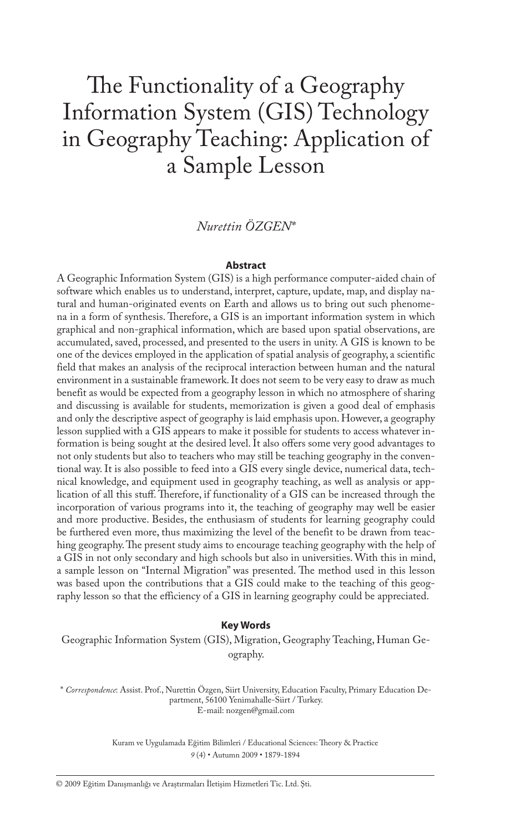# The Functionality of a Geography Information System (GIS) Technology in Geography Teaching: Application of a Sample Lesson

# *Nurettin ÖZGEN\**

#### **Abstract**

A Geographic Information System (GIS) is a high performance computer-aided chain of software which enables us to understand, interpret, capture, update, map, and display natural and human-originated events on Earth and allows us to bring out such phenomena in a form of synthesis. Therefore, a GIS is an important information system in which graphical and non-graphical information, which are based upon spatial observations, are accumulated, saved, processed, and presented to the users in unity. A GIS is known to be one of the devices employed in the application of spatial analysis of geography, a scientific field that makes an analysis of the reciprocal interaction between human and the natural environment in a sustainable framework. It does not seem to be very easy to draw as much benefit as would be expected from a geography lesson in which no atmosphere of sharing and discussing is available for students, memorization is given a good deal of emphasis and only the descriptive aspect of geography is laid emphasis upon. However, a geography lesson supplied with a GIS appears to make it possible for students to access whatever information is being sought at the desired level. It also offers some very good advantages to not only students but also to teachers who may still be teaching geography in the conventional way. It is also possible to feed into a GIS every single device, numerical data, technical knowledge, and equipment used in geography teaching, as well as analysis or application of all this stuff. Therefore, if functionality of a GIS can be increased through the incorporation of various programs into it, the teaching of geography may well be easier and more productive. Besides, the enthusiasm of students for learning geography could be furthered even more, thus maximizing the level of the benefit to be drawn from teaching geography. The present study aims to encourage teaching geography with the help of a GIS in not only secondary and high schools but also in universities. With this in mind, a sample lesson on "Internal Migration" was presented. The method used in this lesson was based upon the contributions that a GIS could make to the teaching of this geography lesson so that the efficiency of a GIS in learning geography could be appreciated.

#### **Key Words**

Geographic Information System (GIS), Migration, Geography Teaching, Human Geography.

\* *Correspondence*: Assist. Prof., Nurettin Özgen, Siirt University, Education Faculty, Primary Education Department, 56100 Yenimahalle-Siirt / Turkey. E-mail: nozgen@gmail.com

> Kuram ve Uygulamada Eğitim Bilimleri / Educational Sciences: Theory & Practice *9* (4) • Autumn 2009 • 1879-1894

© 2009 Eğitim Danışmanlığı ve Araştırmaları İletişim Hizmetleri Tic. Ltd. Şti.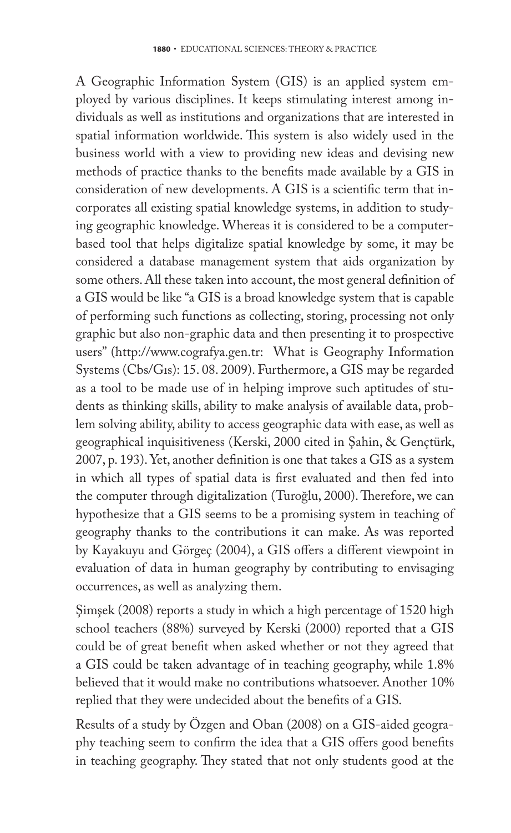A Geographic Information System (GIS) is an applied system employed by various disciplines. It keeps stimulating interest among individuals as well as institutions and organizations that are interested in spatial information worldwide. This system is also widely used in the business world with a view to providing new ideas and devising new methods of practice thanks to the benefits made available by a GIS in consideration of new developments. A GIS is a scientific term that incorporates all existing spatial knowledge systems, in addition to studying geographic knowledge. Whereas it is considered to be a computerbased tool that helps digitalize spatial knowledge by some, it may be considered a database management system that aids organization by some others. All these taken into account, the most general definition of a GIS would be like "a GIS is a broad knowledge system that is capable of performing such functions as collecting, storing, processing not only graphic but also non-graphic data and then presenting it to prospective users" (http://www.cografya.gen.tr: What is Geography Information Systems (Cbs/Gıs): 15. 08. 2009). Furthermore, a GIS may be regarded as a tool to be made use of in helping improve such aptitudes of students as thinking skills, ability to make analysis of available data, problem solving ability, ability to access geographic data with ease, as well as geographical inquisitiveness (Kerski, 2000 cited in Şahin, & Gençtürk, 2007, p. 193). Yet, another definition is one that takes a GIS as a system in which all types of spatial data is first evaluated and then fed into the computer through digitalization (Turoğlu, 2000). Therefore, we can hypothesize that a GIS seems to be a promising system in teaching of geography thanks to the contributions it can make. As was reported by Kayakuyu and Görgeç (2004), a GIS offers a different viewpoint in evaluation of data in human geography by contributing to envisaging occurrences, as well as analyzing them.

Şimşek (2008) reports a study in which a high percentage of 1520 high school teachers (88%) surveyed by Kerski (2000) reported that a GIS could be of great benefit when asked whether or not they agreed that a GIS could be taken advantage of in teaching geography, while 1.8% believed that it would make no contributions whatsoever. Another 10% replied that they were undecided about the benefits of a GIS.

Results of a study by Özgen and Oban (2008) on a GIS-aided geography teaching seem to confirm the idea that a GIS offers good benefits in teaching geography. They stated that not only students good at the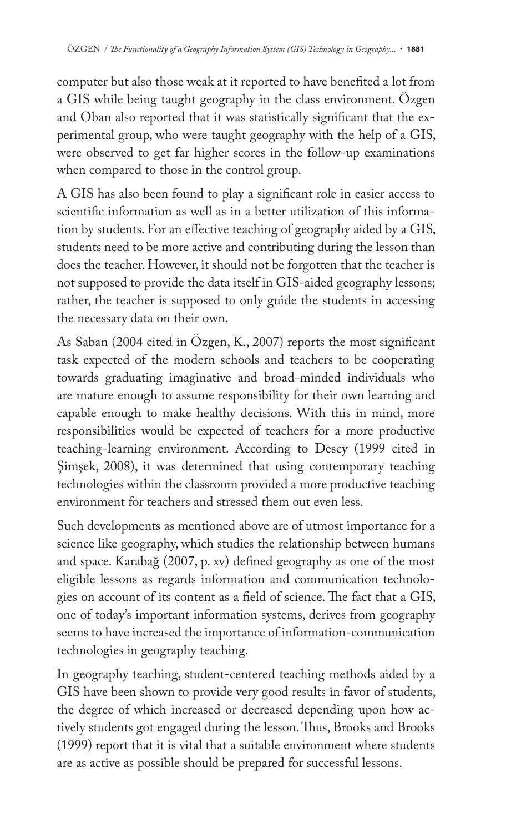computer but also those weak at it reported to have benefited a lot from a GIS while being taught geography in the class environment. Özgen and Oban also reported that it was statistically significant that the experimental group, who were taught geography with the help of a GIS, were observed to get far higher scores in the follow-up examinations when compared to those in the control group.

A GIS has also been found to play a significant role in easier access to scientific information as well as in a better utilization of this information by students. For an effective teaching of geography aided by a GIS, students need to be more active and contributing during the lesson than does the teacher. However, it should not be forgotten that the teacher is not supposed to provide the data itself in GIS-aided geography lessons; rather, the teacher is supposed to only guide the students in accessing the necessary data on their own.

As Saban (2004 cited in Özgen, K., 2007) reports the most significant task expected of the modern schools and teachers to be cooperating towards graduating imaginative and broad-minded individuals who are mature enough to assume responsibility for their own learning and capable enough to make healthy decisions. With this in mind, more responsibilities would be expected of teachers for a more productive teaching-learning environment. According to Descy (1999 cited in Şimşek, 2008), it was determined that using contemporary teaching technologies within the classroom provided a more productive teaching environment for teachers and stressed them out even less.

Such developments as mentioned above are of utmost importance for a science like geography, which studies the relationship between humans and space. Karabağ (2007, p. xv) defined geography as one of the most eligible lessons as regards information and communication technologies on account of its content as a field of science. The fact that a GIS, one of today's important information systems, derives from geography seems to have increased the importance of information-communication technologies in geography teaching.

In geography teaching, student-centered teaching methods aided by a GIS have been shown to provide very good results in favor of students, the degree of which increased or decreased depending upon how actively students got engaged during the lesson. Thus, Brooks and Brooks (1999) report that it is vital that a suitable environment where students are as active as possible should be prepared for successful lessons.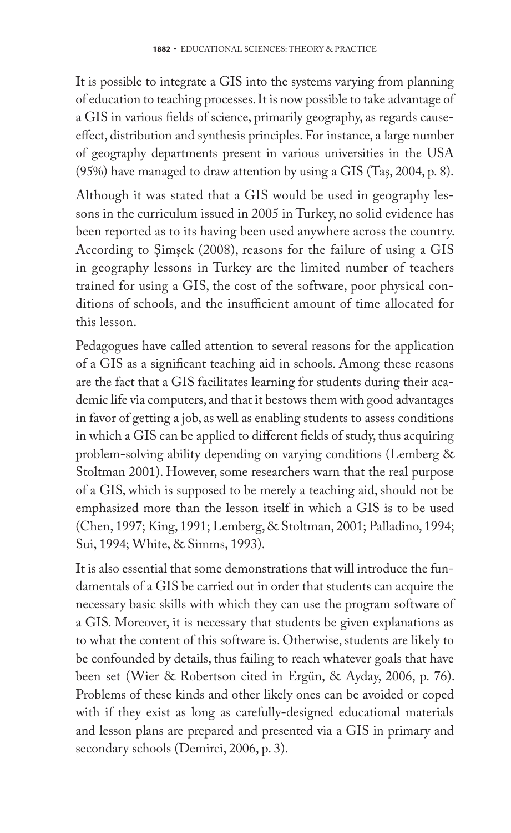It is possible to integrate a GIS into the systems varying from planning of education to teaching processes. It is now possible to take advantage of a GIS in various fields of science, primarily geography, as regards causeeffect, distribution and synthesis principles. For instance, a large number of geography departments present in various universities in the USA (95%) have managed to draw attention by using a GIS (Taş, 2004, p. 8).

Although it was stated that a GIS would be used in geography lessons in the curriculum issued in 2005 in Turkey, no solid evidence has been reported as to its having been used anywhere across the country. According to Şimşek (2008), reasons for the failure of using a GIS in geography lessons in Turkey are the limited number of teachers trained for using a GIS, the cost of the software, poor physical conditions of schools, and the insufficient amount of time allocated for this lesson.

Pedagogues have called attention to several reasons for the application of a GIS as a significant teaching aid in schools. Among these reasons are the fact that a GIS facilitates learning for students during their academic life via computers, and that it bestows them with good advantages in favor of getting a job, as well as enabling students to assess conditions in which a GIS can be applied to different fields of study, thus acquiring problem-solving ability depending on varying conditions (Lemberg & Stoltman 2001). However, some researchers warn that the real purpose of a GIS, which is supposed to be merely a teaching aid, should not be emphasized more than the lesson itself in which a GIS is to be used (Chen, 1997; King, 1991; Lemberg, & Stoltman, 2001; Palladino, 1994; Sui, 1994; White, & Simms, 1993).

It is also essential that some demonstrations that will introduce the fundamentals of a GIS be carried out in order that students can acquire the necessary basic skills with which they can use the program software of a GIS. Moreover, it is necessary that students be given explanations as to what the content of this software is. Otherwise, students are likely to be confounded by details, thus failing to reach whatever goals that have been set (Wier & Robertson cited in Ergün, & Ayday, 2006, p. 76). Problems of these kinds and other likely ones can be avoided or coped with if they exist as long as carefully-designed educational materials and lesson plans are prepared and presented via a GIS in primary and secondary schools (Demirci, 2006, p. 3).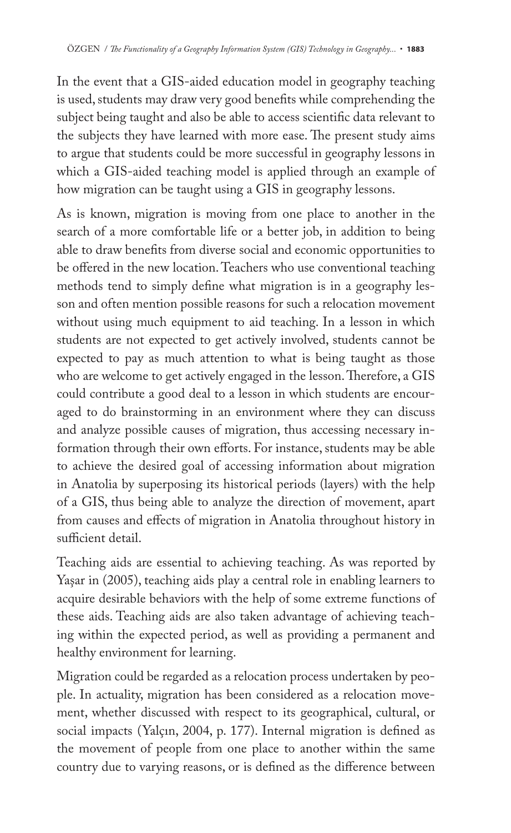In the event that a GIS-aided education model in geography teaching is used, students may draw very good benefits while comprehending the subject being taught and also be able to access scientific data relevant to the subjects they have learned with more ease. The present study aims to argue that students could be more successful in geography lessons in which a GIS-aided teaching model is applied through an example of how migration can be taught using a GIS in geography lessons.

As is known, migration is moving from one place to another in the search of a more comfortable life or a better job, in addition to being able to draw benefits from diverse social and economic opportunities to be offered in the new location. Teachers who use conventional teaching methods tend to simply define what migration is in a geography lesson and often mention possible reasons for such a relocation movement without using much equipment to aid teaching. In a lesson in which students are not expected to get actively involved, students cannot be expected to pay as much attention to what is being taught as those who are welcome to get actively engaged in the lesson. Therefore, a GIS could contribute a good deal to a lesson in which students are encouraged to do brainstorming in an environment where they can discuss and analyze possible causes of migration, thus accessing necessary information through their own efforts. For instance, students may be able to achieve the desired goal of accessing information about migration in Anatolia by superposing its historical periods (layers) with the help of a GIS, thus being able to analyze the direction of movement, apart from causes and effects of migration in Anatolia throughout history in sufficient detail.

Teaching aids are essential to achieving teaching. As was reported by Yaşar in (2005), teaching aids play a central role in enabling learners to acquire desirable behaviors with the help of some extreme functions of these aids. Teaching aids are also taken advantage of achieving teaching within the expected period, as well as providing a permanent and healthy environment for learning.

Migration could be regarded as a relocation process undertaken by people. In actuality, migration has been considered as a relocation movement, whether discussed with respect to its geographical, cultural, or social impacts (Yalçın, 2004, p. 177). Internal migration is defined as the movement of people from one place to another within the same country due to varying reasons, or is defined as the difference between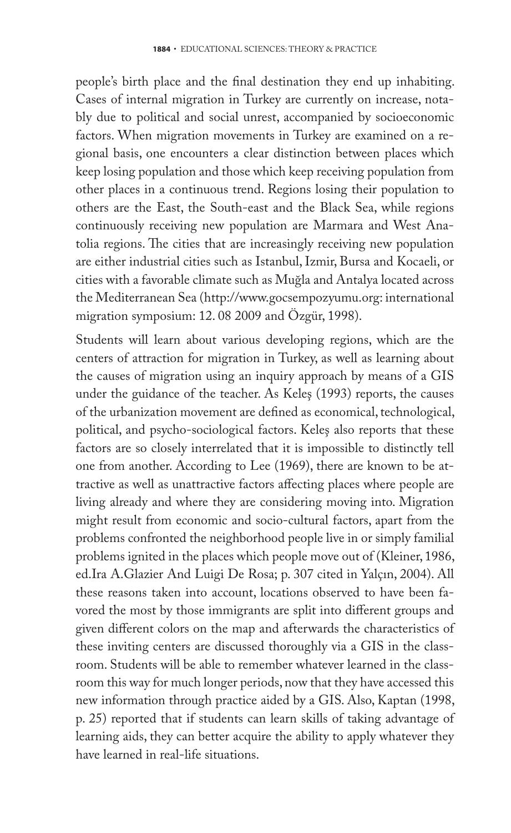people's birth place and the final destination they end up inhabiting. Cases of internal migration in Turkey are currently on increase, notably due to political and social unrest, accompanied by socioeconomic factors. When migration movements in Turkey are examined on a regional basis, one encounters a clear distinction between places which keep losing population and those which keep receiving population from other places in a continuous trend. Regions losing their population to others are the East, the South-east and the Black Sea, while regions continuously receiving new population are Marmara and West Anatolia regions. The cities that are increasingly receiving new population are either industrial cities such as Istanbul, Izmir, Bursa and Kocaeli, or cities with a favorable climate such as Muğla and Antalya located across the Mediterranean Sea (http://www.gocsempozyumu.org: international migration symposium: 12. 08 2009 and Özgür, 1998).

Students will learn about various developing regions, which are the centers of attraction for migration in Turkey, as well as learning about the causes of migration using an inquiry approach by means of a GIS under the guidance of the teacher. As Keleş (1993) reports, the causes of the urbanization movement are defined as economical, technological, political, and psycho-sociological factors. Keleş also reports that these factors are so closely interrelated that it is impossible to distinctly tell one from another. According to Lee (1969), there are known to be attractive as well as unattractive factors affecting places where people are living already and where they are considering moving into. Migration might result from economic and socio-cultural factors, apart from the problems confronted the neighborhood people live in or simply familial problems ignited in the places which people move out of (Kleiner, 1986, ed.Ira A.Glazier And Luigi De Rosa; p. 307 cited in Yalçın, 2004). All these reasons taken into account, locations observed to have been favored the most by those immigrants are split into different groups and given different colors on the map and afterwards the characteristics of these inviting centers are discussed thoroughly via a GIS in the classroom. Students will be able to remember whatever learned in the classroom this way for much longer periods, now that they have accessed this new information through practice aided by a GIS. Also, Kaptan (1998, p. 25) reported that if students can learn skills of taking advantage of learning aids, they can better acquire the ability to apply whatever they have learned in real-life situations.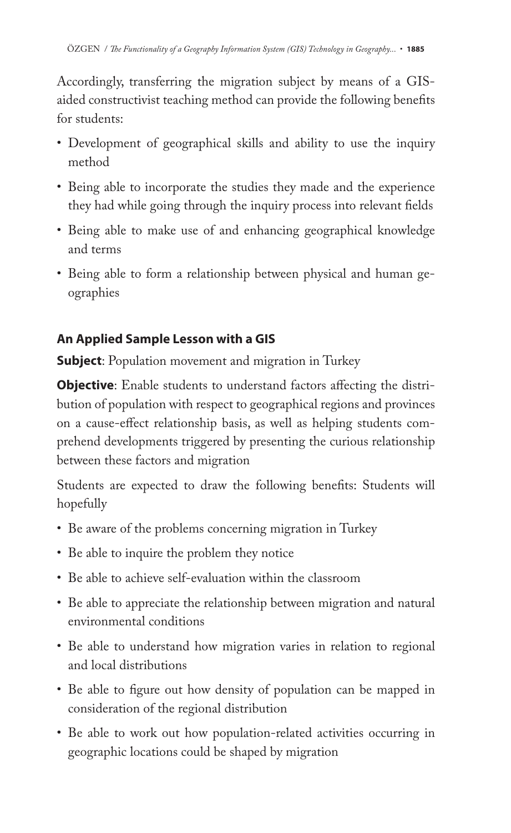Accordingly, transferring the migration subject by means of a GISaided constructivist teaching method can provide the following benefits for students:

- Development of geographical skills and ability to use the inquiry method
- Being able to incorporate the studies they made and the experience they had while going through the inquiry process into relevant fields
- Being able to make use of and enhancing geographical knowledge and terms
- Being able to form a relationship between physical and human geographies

# **An Applied Sample Lesson with a GIS**

**Subject**: Population movement and migration in Turkey

**Objective**: Enable students to understand factors affecting the distribution of population with respect to geographical regions and provinces on a cause-effect relationship basis, as well as helping students comprehend developments triggered by presenting the curious relationship between these factors and migration

Students are expected to draw the following benefits: Students will hopefully

- Be aware of the problems concerning migration in Turkey
- Be able to inquire the problem they notice
- Be able to achieve self-evaluation within the classroom
- Be able to appreciate the relationship between migration and natural environmental conditions
- Be able to understand how migration varies in relation to regional and local distributions
- Be able to figure out how density of population can be mapped in consideration of the regional distribution
- Be able to work out how population-related activities occurring in geographic locations could be shaped by migration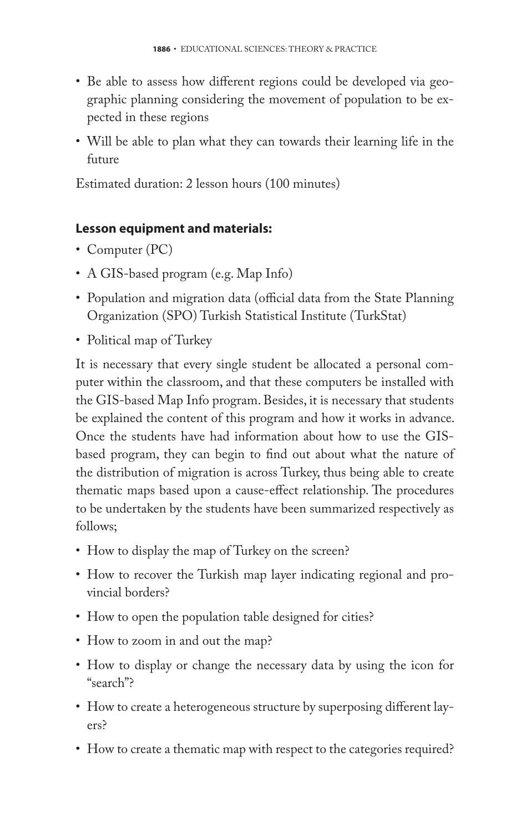- Be able to assess how different regions could be developed via geographic planning considering the movement of population to be expected in these regions
- Will be able to plan what they can towards their learning life in the future

Estimated duration: 2 lesson hours (100 minutes)

# **Lesson equipment and materials:**

- Computer (PC)
- A GIS-based program (e.g. Map Info)
- Population and migration data (official data from the State Planning Organization (SPO) Turkish Statistical Institute (TurkStat)
- Political map of Turkey

It is necessary that every single student be allocated a personal computer within the classroom, and that these computers be installed with the GIS-based Map Info program. Besides, it is necessary that students be explained the content of this program and how it works in advance. Once the students have had information about how to use the GISbased program, they can begin to find out about what the nature of the distribution of migration is across Turkey, thus being able to create thematic maps based upon a cause-effect relationship. The procedures to be undertaken by the students have been summarized respectively as follows;

- How to display the map of Turkey on the screen?
- How to recover the Turkish map layer indicating regional and provincial borders?
- How to open the population table designed for cities?
- How to zoom in and out the map?
- How to display or change the necessary data by using the icon for "search"?
- How to create a heterogeneous structure by superposing different layers?
- How to create a thematic map with respect to the categories required?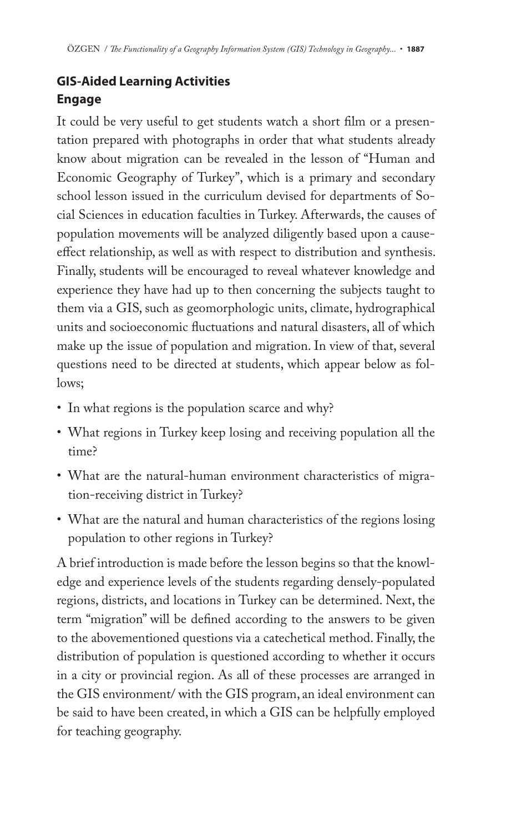# **GIS-Aided Learning Activities Engage**

It could be very useful to get students watch a short film or a presentation prepared with photographs in order that what students already know about migration can be revealed in the lesson of "Human and Economic Geography of Turkey", which is a primary and secondary school lesson issued in the curriculum devised for departments of Social Sciences in education faculties in Turkey. Afterwards, the causes of population movements will be analyzed diligently based upon a causeeffect relationship, as well as with respect to distribution and synthesis. Finally, students will be encouraged to reveal whatever knowledge and experience they have had up to then concerning the subjects taught to them via a GIS, such as geomorphologic units, climate, hydrographical units and socioeconomic fluctuations and natural disasters, all of which make up the issue of population and migration. In view of that, several questions need to be directed at students, which appear below as follows;

- In what regions is the population scarce and why?
- What regions in Turkey keep losing and receiving population all the time?
- What are the natural-human environment characteristics of migration-receiving district in Turkey?
- What are the natural and human characteristics of the regions losing population to other regions in Turkey?

A brief introduction is made before the lesson begins so that the knowledge and experience levels of the students regarding densely-populated regions, districts, and locations in Turkey can be determined. Next, the term "migration" will be defined according to the answers to be given to the abovementioned questions via a catechetical method. Finally, the distribution of population is questioned according to whether it occurs in a city or provincial region. As all of these processes are arranged in the GIS environment/ with the GIS program, an ideal environment can be said to have been created, in which a GIS can be helpfully employed for teaching geography.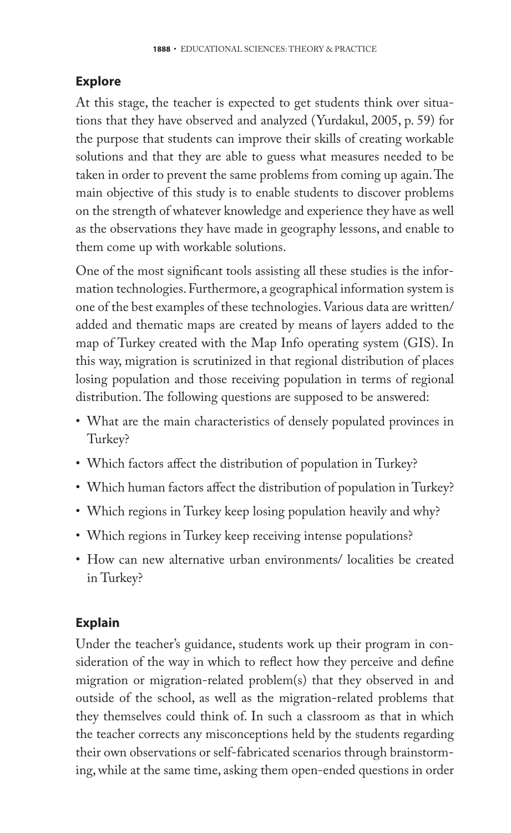## **Explore**

At this stage, the teacher is expected to get students think over situations that they have observed and analyzed (Yurdakul, 2005, p. 59) for the purpose that students can improve their skills of creating workable solutions and that they are able to guess what measures needed to be taken in order to prevent the same problems from coming up again. The main objective of this study is to enable students to discover problems on the strength of whatever knowledge and experience they have as well as the observations they have made in geography lessons, and enable to them come up with workable solutions.

One of the most significant tools assisting all these studies is the information technologies. Furthermore, a geographical information system is one of the best examples of these technologies. Various data are written/ added and thematic maps are created by means of layers added to the map of Turkey created with the Map Info operating system (GIS). In this way, migration is scrutinized in that regional distribution of places losing population and those receiving population in terms of regional distribution. The following questions are supposed to be answered:

- What are the main characteristics of densely populated provinces in Turkey?
- Which factors affect the distribution of population in Turkey?
- Which human factors affect the distribution of population in Turkey?
- Which regions in Turkey keep losing population heavily and why?
- Which regions in Turkey keep receiving intense populations?
- How can new alternative urban environments/ localities be created in Turkey?

# **Explain**

Under the teacher's guidance, students work up their program in consideration of the way in which to reflect how they perceive and define migration or migration-related problem(s) that they observed in and outside of the school, as well as the migration-related problems that they themselves could think of. In such a classroom as that in which the teacher corrects any misconceptions held by the students regarding their own observations or self-fabricated scenarios through brainstorming, while at the same time, asking them open-ended questions in order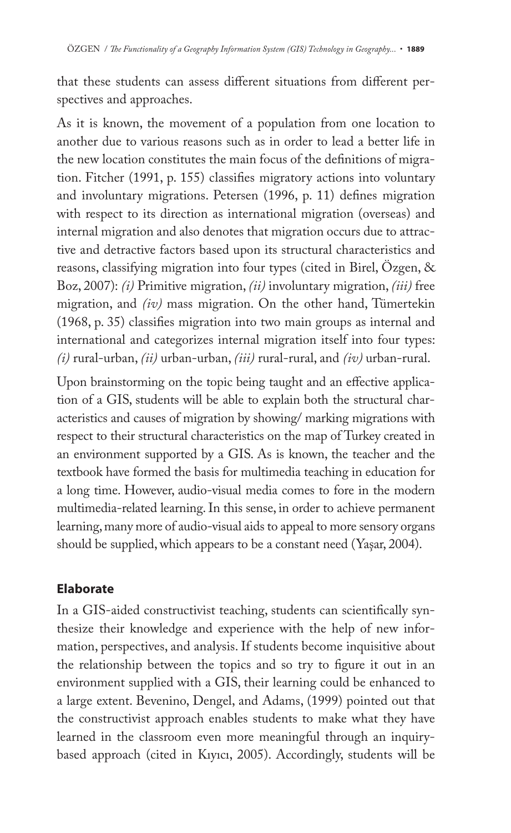that these students can assess different situations from different perspectives and approaches.

As it is known, the movement of a population from one location to another due to various reasons such as in order to lead a better life in the new location constitutes the main focus of the definitions of migration. Fitcher (1991, p. 155) classifies migratory actions into voluntary and involuntary migrations. Petersen (1996, p. 11) defines migration with respect to its direction as international migration (overseas) and internal migration and also denotes that migration occurs due to attractive and detractive factors based upon its structural characteristics and reasons, classifying migration into four types (cited in Birel, Özgen, & Boz, 2007): *(i)* Primitive migration, *(ii)* involuntary migration, *(iii)* free migration, and *(iv)* mass migration. On the other hand, Tümertekin  $(1968, p. 35)$  classifies migration into two main groups as internal and international and categorizes internal migration itself into four types: *(i)* rural-urban, *(ii)* urban-urban, *(iii)* rural-rural, and *(iv)* urban-rural.

Upon brainstorming on the topic being taught and an effective application of a GIS, students will be able to explain both the structural characteristics and causes of migration by showing/ marking migrations with respect to their structural characteristics on the map of Turkey created in an environment supported by a GIS. As is known, the teacher and the textbook have formed the basis for multimedia teaching in education for a long time. However, audio-visual media comes to fore in the modern multimedia-related learning. In this sense, in order to achieve permanent learning, many more of audio-visual aids to appeal to more sensory organs should be supplied, which appears to be a constant need (Yaşar, 2004).

### **Elaborate**

In a GIS-aided constructivist teaching, students can scientifically synthesize their knowledge and experience with the help of new information, perspectives, and analysis. If students become inquisitive about the relationship between the topics and so try to figure it out in an environment supplied with a GIS, their learning could be enhanced to a large extent. Bevenino, Dengel, and Adams, (1999) pointed out that the constructivist approach enables students to make what they have learned in the classroom even more meaningful through an inquirybased approach (cited in Kıyıcı, 2005). Accordingly, students will be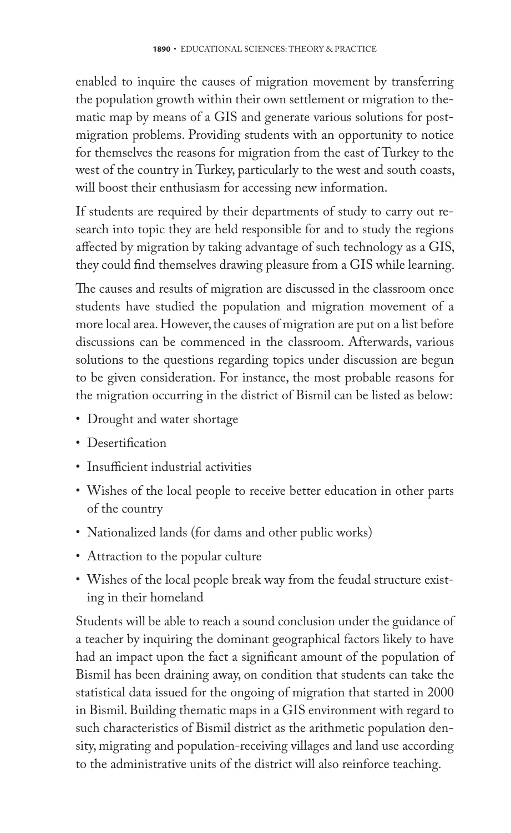enabled to inquire the causes of migration movement by transferring the population growth within their own settlement or migration to thematic map by means of a GIS and generate various solutions for postmigration problems. Providing students with an opportunity to notice for themselves the reasons for migration from the east of Turkey to the west of the country in Turkey, particularly to the west and south coasts, will boost their enthusiasm for accessing new information.

If students are required by their departments of study to carry out research into topic they are held responsible for and to study the regions affected by migration by taking advantage of such technology as a GIS, they could find themselves drawing pleasure from a GIS while learning.

The causes and results of migration are discussed in the classroom once students have studied the population and migration movement of a more local area. However, the causes of migration are put on a list before discussions can be commenced in the classroom. Afterwards, various solutions to the questions regarding topics under discussion are begun to be given consideration. For instance, the most probable reasons for the migration occurring in the district of Bismil can be listed as below:

- Drought and water shortage
- Desertification
- Insufficient industrial activities
- Wishes of the local people to receive better education in other parts of the country
- Nationalized lands (for dams and other public works)
- Attraction to the popular culture
- Wishes of the local people break way from the feudal structure existing in their homeland

Students will be able to reach a sound conclusion under the guidance of a teacher by inquiring the dominant geographical factors likely to have had an impact upon the fact a significant amount of the population of Bismil has been draining away, on condition that students can take the statistical data issued for the ongoing of migration that started in 2000 in Bismil. Building thematic maps in a GIS environment with regard to such characteristics of Bismil district as the arithmetic population density, migrating and population-receiving villages and land use according to the administrative units of the district will also reinforce teaching.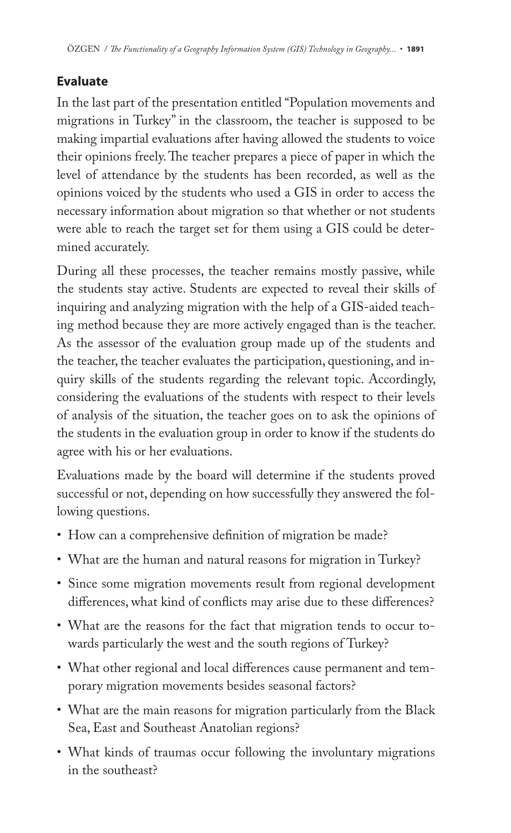# **Evaluate**

In the last part of the presentation entitled "Population movements and migrations in Turkey" in the classroom, the teacher is supposed to be making impartial evaluations after having allowed the students to voice their opinions freely. The teacher prepares a piece of paper in which the level of attendance by the students has been recorded, as well as the opinions voiced by the students who used a GIS in order to access the necessary information about migration so that whether or not students were able to reach the target set for them using a GIS could be determined accurately.

During all these processes, the teacher remains mostly passive, while the students stay active. Students are expected to reveal their skills of inquiring and analyzing migration with the help of a GIS-aided teaching method because they are more actively engaged than is the teacher. As the assessor of the evaluation group made up of the students and the teacher, the teacher evaluates the participation, questioning, and inquiry skills of the students regarding the relevant topic. Accordingly, considering the evaluations of the students with respect to their levels of analysis of the situation, the teacher goes on to ask the opinions of the students in the evaluation group in order to know if the students do agree with his or her evaluations.

Evaluations made by the board will determine if the students proved successful or not, depending on how successfully they answered the following questions.

- How can a comprehensive definition of migration be made?
- What are the human and natural reasons for migration in Turkey?
- Since some migration movements result from regional development differences, what kind of conflicts may arise due to these differences?
- What are the reasons for the fact that migration tends to occur towards particularly the west and the south regions of Turkey?
- What other regional and local differences cause permanent and temporary migration movements besides seasonal factors?
- What are the main reasons for migration particularly from the Black Sea, East and Southeast Anatolian regions?
- What kinds of traumas occur following the involuntary migrations in the southeast?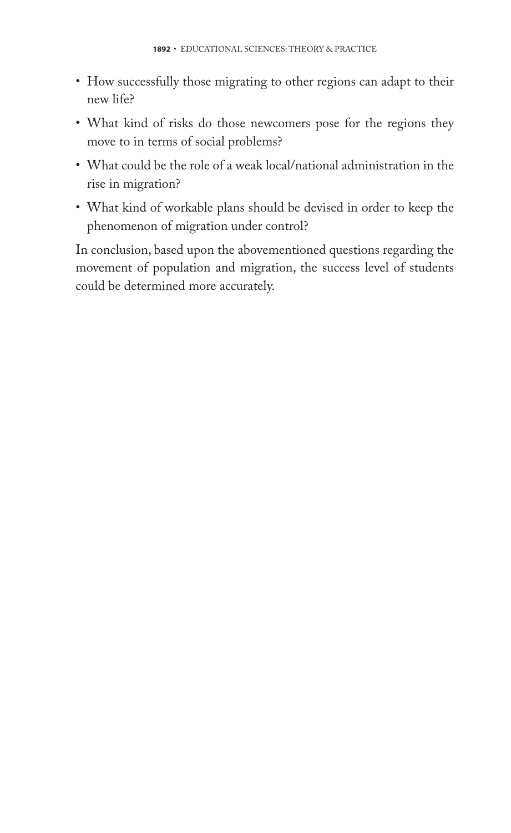- How successfully those migrating to other regions can adapt to their new life?
- What kind of risks do those newcomers pose for the regions they move to in terms of social problems?
- What could be the role of a weak local/national administration in the rise in migration?
- What kind of workable plans should be devised in order to keep the phenomenon of migration under control?

In conclusion, based upon the abovementioned questions regarding the movement of population and migration, the success level of students could be determined more accurately.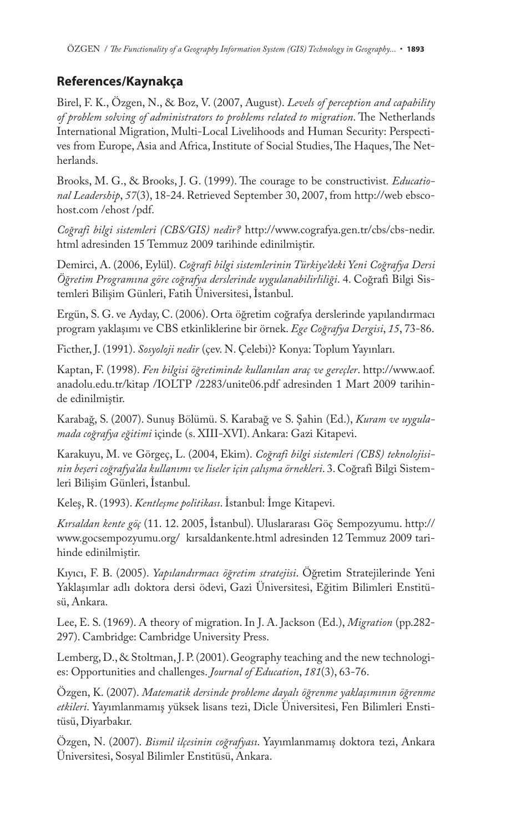### **References/Kaynakça**

Birel, F. K., Özgen, N., & Boz, V. (2007, August). *Levels of perception and capability*  of problem solving of administrators to problems related to migration. The Netherlands International Migration, Multi-Local Livelihoods and Human Security: Perspectives from Europe, Asia and Africa, Institute of Social Studies, The Haques, The Netherlands.

Brooks, M. G., & Brooks, J. G. (1999). The courage to be constructivist. *Educational Leadership*, *57*(3), 18-24. Retrieved September 30, 2007, from http://web ebscohost.com /ehost /pdf.

*Coğrafi bilgi sistemleri (CBS/GIS) nedir?* http://www.cografya.gen.tr/cbs/cbs-nedir. html adresinden 15 Temmuz 2009 tarihinde edinilmiştir.

Demirci, A. (2006, Eylül). *Coğrafi bilgi sistemlerinin Türkiye'deki Yeni Coğrafya Dersi Öğretim Programına göre coğrafya derslerinde uygulanabilirliliği*. 4. Coğrafi Bilgi Sistemleri Bilişim Günleri, Fatih Üniversitesi, İstanbul.

Ergün, S. G. ve Ayday, C. (2006). Orta öğretim coğrafya derslerinde yapılandırmacı program yaklaşımı ve CBS etkinliklerine bir örnek. *Ege Coğrafya Dergisi*, *15*, 73-86.

Ficther, J. (1991). *Sosyoloji nedir* (çev. N. Çelebi)? Konya: Toplum Yayınları.

Kaptan, F. (1998). *Fen bilgisi öğretiminde kullanılan araç ve gereçler*. http://www.aof. anadolu.edu.tr/kitap /IOLTP /2283/unite06.pdf adresinden 1 Mart 2009 tarihinde edinilmiştir.

Karabağ, S. (2007). Sunuş Bölümü. S. Karabağ ve S. Şahin (Ed.), *Kuram ve uygulamada coğrafya eğitimi* içinde (s. XIII-XVI). Ankara: Gazi Kitapevi.

Karakuyu, M. ve Görgeç, L. (2004, Ekim). *Coğrafi bilgi sistemleri (CBS) teknolojisinin beşeri coğrafya'da kullanımı ve liseler için çalışma örnekleri*. 3. Coğrafi Bilgi Sistemleri Bilişim Günleri, İstanbul.

Keleş, R. (1993). *Kentleşme politikası*. İstanbul: İmge Kitapevi.

*Kırsaldan kente göç* (11. 12. 2005, İstanbul). Uluslararası Göç Sempozyumu. http:// www.gocsempozyumu.org/ kırsaldankente.html adresinden 12 Temmuz 2009 tarihinde edinilmiştir.

Kıyıcı, F. B. (2005). *Yapılandırmacı öğretim stratejisi*. Öğretim Stratejilerinde Yeni Yaklaşımlar adlı doktora dersi ödevi, Gazi Üniversitesi, Eğitim Bilimleri Enstitüsü, Ankara.

Lee, E. S. (1969). A theory of migration. In J. A. Jackson (Ed.), *Migration* (pp.282- 297). Cambridge: Cambridge University Press.

Lemberg, D., & Stoltman, J. P. (2001). Geography teaching and the new technologies: Opportunities and challenges. *Journal of Education*, *181*(3), 63-76.

Özgen, K. (2007). *Matematik dersinde probleme dayalı öğrenme yaklaşımının öğrenme etkileri*. Yayımlanmamış yüksek lisans tezi, Dicle Üniversitesi, Fen Bilimleri Enstitüsü, Diyarbakır.

Özgen, N. (2007). *Bismil ilçesinin coğrafyası*. Yayımlanmamış doktora tezi, Ankara Üniversitesi, Sosyal Bilimler Enstitüsü, Ankara.